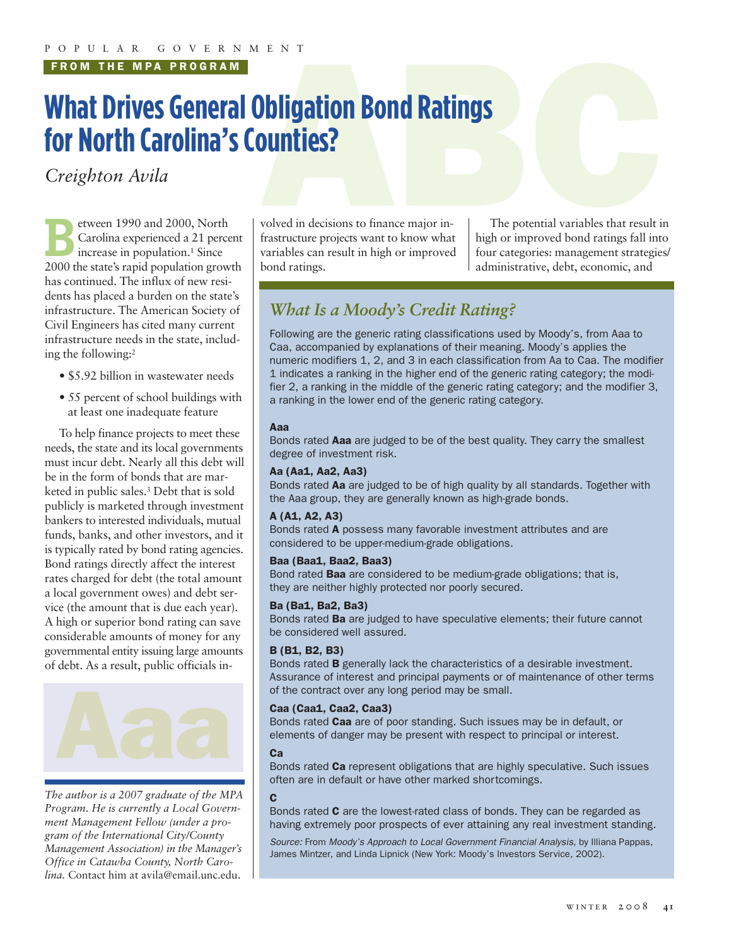**FROM THE MPA PROGRAM**

# **PENT**<br> **ABC**<br> **ABC**<br> **ABC**<br> **ABC**<br> **ABC**<br> **ABC**<br> **ABC**<br> **ABC**<br> **ABC**<br> **ABC**<br> **ABC**<br> **ABC**<br> **ABC**<br> **ABC**<br> **ABC What Drives General Obligation Bond Ratings for North Carolina's Counties?**

*Creighton Avila*

Extra 2000, North<br>Carolina experienced a 21 percential percential and a 21 percential percential percential percential percential percential percential percential percential percential percential percential percential perc Carolina experienced a 21 percent increase in population.<sup>1</sup> Since 2000 the state's rapid population growth has continued. The influx of new residents has placed a burden on the state's infrastructure. The American Society of Civil Engineers has cited many current infrastructure needs in the state, including the following:2

- \$5.92 billion in wastewater needs
- 55 percent of school buildings with at least one inadequate feature

To help finance projects to meet these needs, the state and its local governments must incur debt. Nearly all this debt will be in the form of bonds that are marketed in public sales.3 Debt that is sold publicly is marketed through investment bankers to interested individuals, mutual funds, banks, and other investors, and it is typically rated by bond rating agencies. Bond ratings directly affect the interest rates charged for debt (the total amount a local government owes) and debt service (the amount that is due each year). A high or superior bond rating can save considerable amounts of money for any governmental entity issuing large amounts of debt. As a result, public officials in-



*The author is a 2007 graduate of the MPA Program. He is currently a Local Government Management Fellow (under a program of the International City/County Management Association) in the Manager's Office in Catawba County, North Carolina.* Contact him at avila@email.unc.edu.

volved in decisions to finance major infrastructure projects want to know what variables can result in high or improved bond ratings.

The potential variables that result in high or improved bond ratings fall into four categories: management strategies/ administrative, debt, economic, and

# *What Is a Moody's Credit Rating?*

Following are the generic rating classifications used by Moody's, from Aaa to Caa, accompanied by explanations of their meaning. Moody's applies the numeric modifiers 1, 2, and 3 in each classification from Aa to Caa. The modifier 1 indicates a ranking in the higher end of the generic rating category; the modifier 2, a ranking in the middle of the generic rating category; and the modifier 3, a ranking in the lower end of the generic rating category.

## **Aaa**

Bonds rated **Aaa** are judged to be of the best quality. They carry the smallest degree of investment risk.

## **Aa (Aa1, Aa2, Aa3)**

Bonds rated **Aa** are judged to be of high quality by all standards. Together with the Aaa group, they are generally known as high-grade bonds.

# **A (A1, A2, A3)**

Bonds rated **A** possess many favorable investment attributes and are considered to be upper-medium-grade obligations.

# **Baa (Baa1, Baa2, Baa3)**

Bond rated **Baa** are considered to be medium-grade obligations; that is, they are neither highly protected nor poorly secured.

# **Ba (Ba1, Ba2, Ba3)**

Bonds rated **Ba** are judged to have speculative elements; their future cannot be considered well assured.

# **B (B1, B2, B3)**

Bonds rated **B** generally lack the characteristics of a desirable investment. Assurance of interest and principal payments or of maintenance of other terms of the contract over any long period may be small.

# **Caa (Caa1, Caa2, Caa3)**

Bonds rated **Caa** are of poor standing. Such issues may be in default, or elements of danger may be present with respect to principal or interest.

# **Ca**

Bonds rated **Ca** represent obligations that are highly speculative. Such issues often are in default or have other marked shortcomings.

#### **C**

Bonds rated **C** are the lowest-rated class of bonds. They can be regarded as having extremely poor prospects of ever attaining any real investment standing.

*Source:* From *Moody's Approach to Local Government Financial Analysis*, by Illiana Pappas, James Mintzer, and Linda Lipnick (New York: Moody's Investors Service, 2002).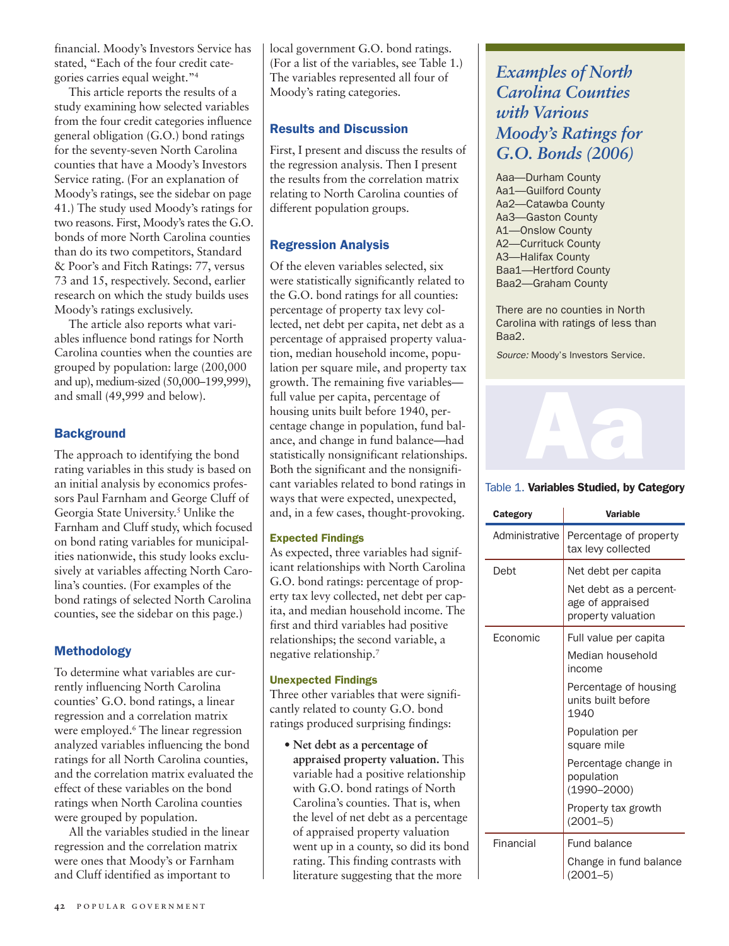financial. Moody's Investors Service has stated, "Each of the four credit categories carries equal weight."4

This article reports the results of a study examining how selected variables from the four credit categories influence general obligation (G.O.) bond ratings for the seventy-seven North Carolina counties that have a Moody's Investors Service rating. (For an explanation of Moody's ratings, see the sidebar on page 41.) The study used Moody's ratings for two reasons. First, Moody's rates the G.O. bonds of more North Carolina counties than do its two competitors, Standard & Poor's and Fitch Ratings: 77, versus 73 and 15, respectively. Second, earlier research on which the study builds uses Moody's ratings exclusively.

The article also reports what variables influence bond ratings for North Carolina counties when the counties are grouped by population: large (200,000 and up), medium-sized (50,000–199,999), and small (49,999 and below).

# **Background**

The approach to identifying the bond rating variables in this study is based on an initial analysis by economics professors Paul Farnham and George Cluff of Georgia State University. <sup>5</sup> Unlike the Farnham and Cluff study, which focused on bond rating variables for municipalities nationwide, this study looks exclusively at variables affecting North Carolina's counties. (For examples of the bond ratings of selected North Carolina counties, see the sidebar on this page.)

# **Methodology**

To determine what variables are currently influencing North Carolina counties' G.O. bond ratings, a linear regression and a correlation matrix were employed.6 The linear regression analyzed variables influencing the bond ratings for all North Carolina counties, and the correlation matrix evaluated the effect of these variables on the bond ratings when North Carolina counties were grouped by population.

All the variables studied in the linear regression and the correlation matrix were ones that Moody's or Farnham and Cluff identified as important to

local government G.O. bond ratings. (For a list of the variables, see Table 1.) The variables represented all four of Moody's rating categories.

# **Results and Discussion**

First, I present and discuss the results of the regression analysis. Then I present the results from the correlation matrix relating to North Carolina counties of different population groups.

# **Regression Analysis**

Of the eleven variables selected, six were statistically significantly related to the G.O. bond ratings for all counties: percentage of property tax levy collected, net debt per capita, net debt as a percentage of appraised property valuation, median household income, population per square mile, and property tax growth. The remaining five variables full value per capita, percentage of housing units built before 1940, percentage change in population, fund balance, and change in fund balance—had statistically nonsignificant relationships. Both the significant and the nonsignificant variables related to bond ratings in ways that were expected, unexpected, and, in a few cases, thought-provoking.

# **Expected Findings**

As expected, three variables had significant relationships with North Carolina G.O. bond ratings: percentage of property tax levy collected, net debt per capita, and median household income. The first and third variables had positive relationships; the second variable, a negative relationship.7

# **Unexpected Findings**

Three other variables that were significantly related to county G.O. bond ratings produced surprising findings:

**• Net debt as a percentage of appraised property valuation.** This variable had a positive relationship with G.O. bond ratings of North Carolina's counties. That is, when the level of net debt as a percentage of appraised property valuation went up in a county, so did its bond rating. This finding contrasts with literature suggesting that the more

# *Examples of North Carolina Counties with Various Moody's Ratings for G.O. Bonds (2006)*

Aaa—Durham County Aa1—Guilford County Aa2—Catawba County Aa3—Gaston County A1—Onslow County A2—Currituck County A3—Halifax County Baa1—Hertford County Baa2—Graham County

There are no counties in North Carolina with ratings of less than Baa2.

*Source:* Moody's Investors Service.



# Table 1. **Variables Studied, by Category**

| Category       | <b>Variable</b>                                                  |  |
|----------------|------------------------------------------------------------------|--|
| Administrative | Percentage of property<br>tax levy collected                     |  |
| Debt           | Net debt per capita                                              |  |
|                | Net debt as a percent-<br>age of appraised<br>property valuation |  |
| Economic       | Full value per capita                                            |  |
|                | Median household<br>income                                       |  |
|                | Percentage of housing<br>units built before<br>1940              |  |
|                | Population per<br>square mile                                    |  |
|                | Percentage change in<br>population<br>$(1990 - 2000)$            |  |
|                | Property tax growth<br>$(2001 - 5)$                              |  |
| Financial      | Fund balance                                                     |  |
|                | Change in fund balance<br>$(2001 - 5)$                           |  |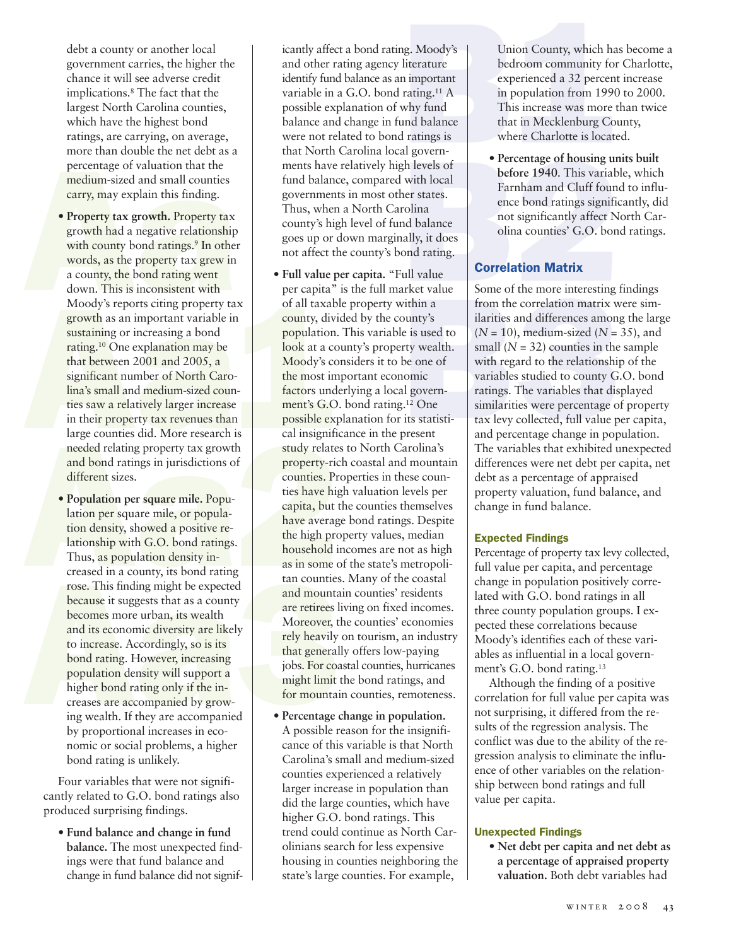debt a county or another local government carries, the higher the chance it will see adverse credit implications.8 The fact that the largest North Carolina counties, which have the highest bond ratings, are carrying, on average, more than double the net debt as a percentage of valuation that the medium-sized and small counties carry, may explain this finding.

- Which have the highest bond<br>
ratings, are carrying, on average,<br>
more than double the net debt as a<br>
percentage of valuation that the<br>
medium-sized and small counties<br>
carry, may explain this finding.<br>
 Property tax growt words, as the property tax grew in<br>
a county, the bond rating went<br>
Moody's reports citing property tax<br>
Moody's reports citing property tax<br>
moody's reports citing property tax<br>
and important variable in<br>
sustaining or in **• Property tax growth.** Property tax growth had a negative relationship with county bond ratings.<sup>9</sup> In other words, as the property tax grew in a county, the bond rating went down. This is inconsistent with Moody's reports citing property tax growth as an important variable in sustaining or increasing a bond rating.10 One explanation may be that between 2001 and 2005, a significant number of North Carolina's small and medium-sized counties saw a relatively larger increase in their property tax revenues than large counties did. More research is needed relating property tax growth and bond ratings in jurisdictions of different sizes.
- ationship with G.O. bond ratings.<br>
Thus, as population density in-<br>
creased in a county, its bond rating<br>
rose. This finding might be expected<br>
because it suggests that as a county<br>
becomes more urban, its wealth<br>
and its **• Population per square mile.** Population per square mile, or population density, showed a positive relationship with G.O. bond ratings. Thus, as population density increased in a county, its bond rating rose. This finding might be expected because it suggests that as a county becomes more urban, its wealth and its economic diversity are likely to increase. Accordingly, so is its bond rating. However, increasing population density will support a higher bond rating only if the increases are accompanied by growing wealth. If they are accompanied by proportional increases in economic or social problems, a higher bond rating is unlikely.

Four variables that were not significantly related to G.O. bond ratings also produced surprising findings.

**• Fund balance and change in fund balance.** The most unexpected findings were that fund balance and change in fund balance did not significantly affect a bond rating. Moody's and other rating agency literature identify fund balance as an important variable in a G.O. bond rating.11 A possible explanation of why fund balance and change in fund balance were not related to bond ratings is that North Carolina local governments have relatively high levels of fund balance, compared with local governments in most other states. Thus, when a North Carolina county's high level of fund balance goes up or down marginally, it does not affect the county's bond rating.

- Thus, as population density in-<br>
The interpretent of the same of the same of the same of the same of the same of the same of the same of the same of the same of the same of the same of the same of the same of the same of t **• Full value per capita.** "Full value per capita" is the full market value of all taxable property within a county, divided by the county's population. This variable is used to look at a county's property wealth. Moody's considers it to be one of the most important economic factors underlying a local government's G.O. bond rating.12 One possible explanation for its statistical insignificance in the present study relates to North Carolina's property-rich coastal and mountain counties. Properties in these counties have high valuation levels per capita, but the counties themselves have average bond ratings. Despite the high property values, median household incomes are not as high as in some of the state's metropolitan counties. Many of the coastal and mountain counties' residents are retirees living on fixed incomes. Moreover, the counties' economies rely heavily on tourism, an industry that generally offers low-paying jobs. For coastal counties, hurricanes might limit the bond ratings, and for mountain counties, remoteness.
	- **Percentage change in population.**  A possible reason for the insignificance of this variable is that North Carolina's small and medium-sized counties experienced a relatively larger increase in population than did the large counties, which have higher G.O. bond ratings. This trend could continue as North Carolinians search for less expensive housing in counties neighboring the state's large counties. For example,

ag. Moody's<br>
literature<br>
literature<br>
literature<br>
nimportant<br>
rating.<sup>11</sup> A<br>
in population from 1990 to 2000.<br>
why fund<br>
why fund<br>
that in Mecklenburg County,<br>
ratings is<br>
where Charlotte is located. Union County, which has become a bedroom community for Charlotte, experienced a 32 percent increase in population from 1990 to 2000. This increase was more than twice that in Mecklenburg County, where Charlotte is located.

and balance<br>
In that in Mecklenburg County,<br>
It ratings is<br>
al govern-<br>
the levels of<br>
with local<br>
with local<br> **Percentage of housing units built**<br>
before 1940. This variable, which<br>
reached the percentage of housing units **• Percentage of housing units built before 1940**. This variable, which Farnham and Cluff found to influence bond ratings significantly, did not significantly affect North Carolina counties' G.O. bond ratings.

# **Correlation Matrix**

ond rating.<br>
ull value<br>
some of the more interesting<br>
vithin a<br>
some of the more interesting<br>
vithin a<br>
trom the correlation matrix v<br>
e is used to<br>  $(N = 10)$ , medium-sized  $(N =$ <br>
small  $(N = 32)$  counties in the<br>
be one of<br> Some of the more interesting findings from the correlation matrix were similarities and differences among the large  $(N = 10)$ , medium-sized  $(N = 35)$ , and small  $(N = 32)$  counties in the sample with regard to the relationship of the variables studied to county G.O. bond ratings. The variables that displayed similarities were percentage of property tax levy collected, full value per capita, and percentage change in population. The variables that exhibited unexpected differences were net debt per capita, net debt as a percentage of appraised property valuation, fund balance, and change in fund balance.

# **Expected Findings**

Percentage of property tax levy collected, full value per capita, and percentage change in population positively correlated with G.O. bond ratings in all three county population groups. I expected these correlations because Moody's identifies each of these variables as influential in a local government's G.O. bond rating.13

Although the finding of a positive correlation for full value per capita was not surprising, it differed from the results of the regression analysis. The conflict was due to the ability of the regression analysis to eliminate the influence of other variables on the relationship between bond ratings and full value per capita.

# **Unexpected Findings**

**• Net debt per capita and net debt as a percentage of appraised property valuation.** Both debt variables had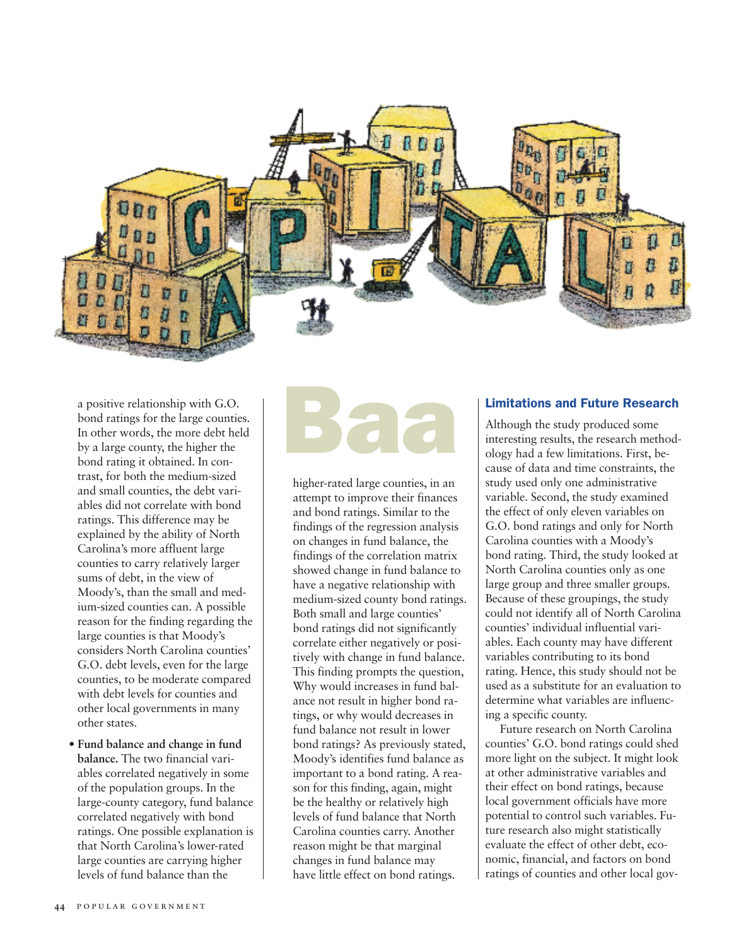

a positive relationship with G.O. bond ratings for the large counties. In other words, the more debt held by a large county, the higher the bond rating it obtained. In contrast, for both the medium-sized and small counties, the debt variables did not correlate with bond ratings. This difference may be explained by the ability of North Carolina's more affluent large counties to carry relatively larger sums of debt, in the view of Moody's, than the small and medium-sized counties can. A possible reason for the finding regarding the large counties is that Moody's considers North Carolina counties' G.O. debt levels, even for the large counties, to be moderate compared with debt levels for counties and other local governments in many other states.

**• Fund balance and change in fund balance.** The two financial variables correlated negatively in some of the population groups. In the large-county category, fund balance correlated negatively with bond ratings. One possible explanation is that North Carolina's lower-rated large counties are carrying higher levels of fund balance than the

# **Baa**

higher-rated large counties, in an attempt to improve their finances and bond ratings. Similar to the findings of the regression analysis on changes in fund balance, the findings of the correlation matrix showed change in fund balance to have a negative relationship with medium-sized county bond ratings. Both small and large counties' bond ratings did not significantly correlate either negatively or positively with change in fund balance. This finding prompts the question, Why would increases in fund balance not result in higher bond ratings, or why would decreases in fund balance not result in lower bond ratings? As previously stated, Moody's identifies fund balance as important to a bond rating. A reason for this finding, again, might be the healthy or relatively high levels of fund balance that North Carolina counties carry. Another reason might be that marginal changes in fund balance may have little effect on bond ratings.

# **Limitations and Future Research**

Although the study produced some interesting results, the research methodology had a few limitations. First, because of data and time constraints, the study used only one administrative variable. Second, the study examined the effect of only eleven variables on G.O. bond ratings and only for North Carolina counties with a Moody's bond rating. Third, the study looked at North Carolina counties only as one large group and three smaller groups. Because of these groupings, the study could not identify all of North Carolina counties' individual influential variables. Each county may have different variables contributing to its bond rating. Hence, this study should not be used as a substitute for an evaluation to determine what variables are influencing a specific county.

Future research on North Carolina counties' G.O. bond ratings could shed more light on the subject. It might look at other administrative variables and their effect on bond ratings, because local government officials have more potential to control such variables. Future research also might statistically evaluate the effect of other debt, economic, financial, and factors on bond ratings of counties and other local gov-